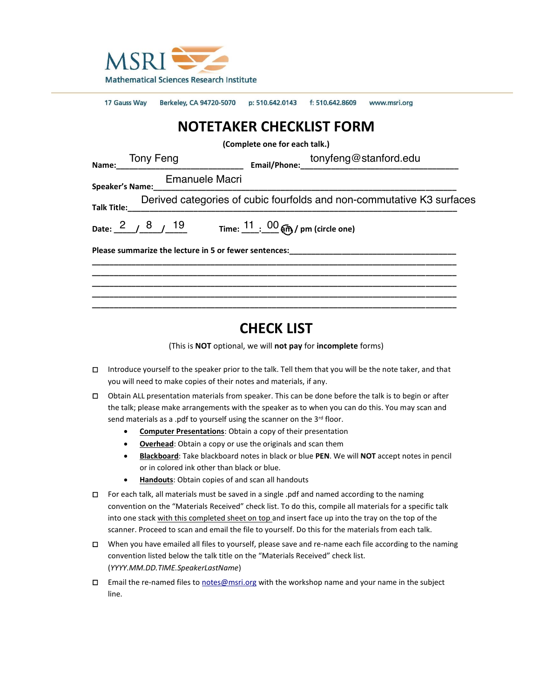

|                                                                       | 17 Gauss Way Berkeley, CA 94720-5070 p: 510.642.0143 f: 510.642.8609 www.msri.org              |  |  |  |
|-----------------------------------------------------------------------|------------------------------------------------------------------------------------------------|--|--|--|
| <b>NOTETAKER CHECKLIST FORM</b>                                       |                                                                                                |  |  |  |
| (Complete one for each talk.)                                         |                                                                                                |  |  |  |
|                                                                       |                                                                                                |  |  |  |
|                                                                       | <b>Emanuele Macri</b>                                                                          |  |  |  |
| Derived categories of cubic fourfolds and non-commutative K3 surfaces |                                                                                                |  |  |  |
|                                                                       | Date: $\frac{2}{5}$ / $\frac{8}{19}$ 19 Time: $\frac{11}{19}$ $\frac{00}{19}$ (pm (circle one) |  |  |  |
|                                                                       |                                                                                                |  |  |  |
|                                                                       |                                                                                                |  |  |  |
|                                                                       |                                                                                                |  |  |  |

# **CHECK LIST**

(This is **NOT** optional, we will **not pay** for **incomplete** forms)

- □ Introduce yourself to the speaker prior to the talk. Tell them that you will be the note taker, and that you will need to make copies of their notes and materials, if any.
- □ Obtain ALL presentation materials from speaker. This can be done before the talk is to begin or after the talk; please make arrangements with the speaker as to when you can do this. You may scan and send materials as a .pdf to yourself using the scanner on the 3rd floor.
	- **Computer Presentations**: Obtain a copy of their presentation
	- **Overhead**: Obtain a copy or use the originals and scan them
	- **Blackboard**: Take blackboard notes in black or blue **PEN**. We will **NOT** accept notes in pencil or in colored ink other than black or blue.
	- **Handouts**: Obtain copies of and scan all handouts
- □ For each talk, all materials must be saved in a single .pdf and named according to the naming convention on the "Materials Received" check list. To do this, compile all materials for a specific talk into one stack with this completed sheet on top and insert face up into the tray on the top of the scanner. Proceed to scan and email the file to yourself. Do this for the materials from each talk.
- □ When you have emailed all files to yourself, please save and re-name each file according to the naming convention listed below the talk title on the "Materials Received" check list. (*YYYY.MM.DD.TIME.SpeakerLastName*)
- □ Email the re-named files to [notes@msri.org](mailto:notes@msri.org) with the workshop name and your name in the subject line.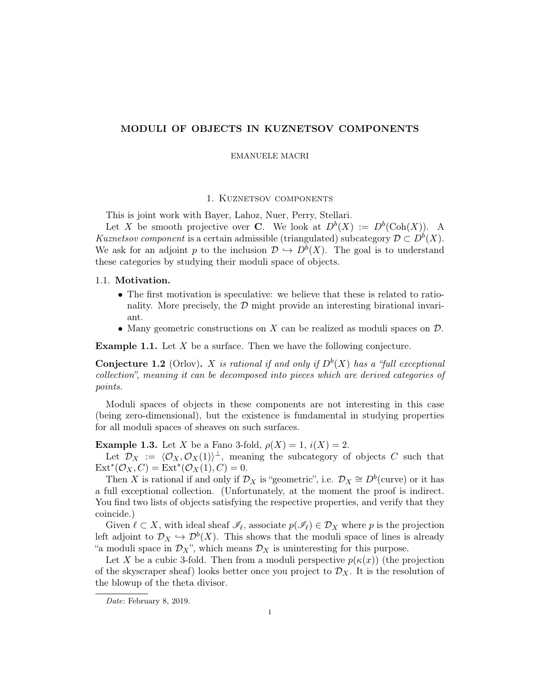## MODULI OF OBJECTS IN KUZNETSOV COMPONENTS

#### EMANUELE MACRI

## 1. Kuznetsov components

This is joint work with Bayer, Lahoz, Nuer, Perry, Stellari.

Let X be smooth projective over C. We look at  $D^b(X) := D^b(\text{Coh}(X))$ . A Kuznetsov component is a certain admissible (triangulated) subcategory  $\mathcal{D} \subset D^b(X)$ . We ask for an adjoint p to the inclusion  $\mathcal{D} \hookrightarrow D^b(X)$ . The goal is to understand these categories by studying their moduli space of objects.

#### 1.1. Motivation.

- The first motivation is speculative: we believe that these is related to rationality. More precisely, the  $\mathcal D$  might provide an interesting birational invariant.
- Many geometric constructions on X can be realized as moduli spaces on  $\mathcal D$ .

**Example 1.1.** Let  $X$  be a surface. Then we have the following conjecture.

**Conjecture 1.2** (Orlov). X is rational if and only if  $D^b(X)$  has a "full exceptional collection", meaning it can be decomposed into pieces which are derived categories of points.

Moduli spaces of objects in these components are not interesting in this case (being zero-dimensional), but the existence is fundamental in studying properties for all moduli spaces of sheaves on such surfaces.

**Example 1.3.** Let X be a Fano 3-fold,  $\rho(X) = 1$ ,  $i(X) = 2$ .

Let  $\mathcal{D}_X := \langle \mathcal{O}_X, \mathcal{O}_X(1) \rangle^{\perp}$ , meaning the subcategory of objects C such that  $\text{Ext}^*(\mathcal{O}_X, C) = \text{Ext}^*(\mathcal{O}_X(1), C) = 0.$ 

Then X is rational if and only if  $\mathcal{D}_X$  is "geometric", i.e.  $\mathcal{D}_X \cong D^b$  (curve) or it has a full exceptional collection. (Unfortunately, at the moment the proof is indirect. You find two lists of objects satisfying the respective properties, and verify that they coincide.)

Given  $\ell \subset X$ , with ideal sheaf  $\mathscr{I}_{\ell}$ , associate  $p(\mathscr{I}_{\ell}) \in \mathcal{D}_X$  where p is the projection left adjoint to  $\mathcal{D}_X \hookrightarrow \mathcal{D}^b(X)$ . This shows that the moduli space of lines is already "a moduli space in  $\mathcal{D}_X$ ", which means  $\mathcal{D}_X$  is uninteresting for this purpose.

Let X be a cubic 3-fold. Then from a moduli perspective  $p(\kappa(x))$  (the projection of the skyscraper sheaf) looks better once you project to  $\mathcal{D}_X$ . It is the resolution of the blowup of the theta divisor.

Date: February 8, 2019.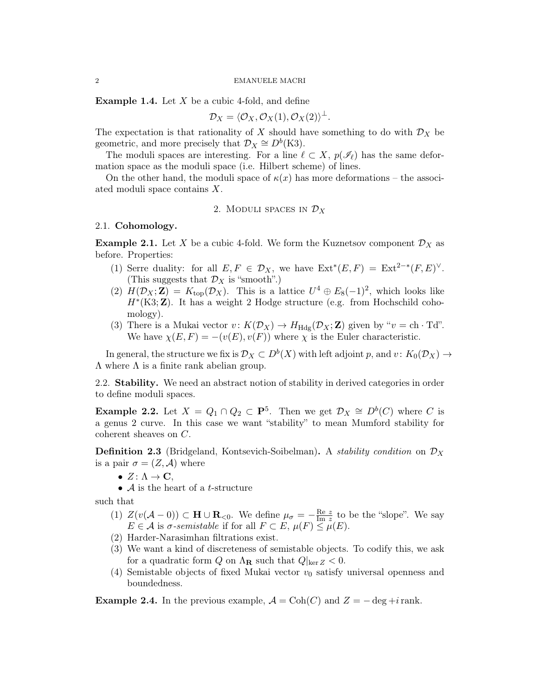#### 2 EMANUELE MACRI

**Example 1.4.** Let  $X$  be a cubic 4-fold, and define

$$
\mathcal{D}_X = \langle \mathcal{O}_X, \mathcal{O}_X(1), \mathcal{O}_X(2) \rangle^{\perp}.
$$

The expectation is that rationality of X should have something to do with  $\mathcal{D}_X$  be geometric, and more precisely that  $\mathcal{D}_X \cong D^b(\mathrm{K3})$ .

The moduli spaces are interesting. For a line  $\ell \subset X$ ,  $p(\mathscr{I}_{\ell})$  has the same deformation space as the moduli space (i.e. Hilbert scheme) of lines.

On the other hand, the moduli space of  $\kappa(x)$  has more deformations – the associated moduli space contains X.

## 2. MODULI SPACES IN  $\mathcal{D}_X$

#### 2.1. Cohomology.

**Example 2.1.** Let X be a cubic 4-fold. We form the Kuznetsov component  $\mathcal{D}_X$  as before. Properties:

- (1) Serre duality: for all  $E, F \in \mathcal{D}_X$ , we have  $\text{Ext}^*(E, F) = \text{Ext}^{2-*}(F, E)^{\vee}$ . (This suggests that  $\mathcal{D}_X$  is "smooth".)
- (2)  $H(D_X; \mathbf{Z}) = K_{top}(\mathcal{D}_X)$ . This is a lattice  $U^4 \oplus E_8(-1)^2$ , which looks like  $H^*(\text{K3};\mathbf{Z})$ . It has a weight 2 Hodge structure (e.g. from Hochschild cohomology).
- (3) There is a Mukai vector  $v: K(\mathcal{D}_X) \to H_{\text{Hdg}}(\mathcal{D}_X; \mathbf{Z})$  given by " $v = \text{ch } \cdot \text{Td}$ ". We have  $\chi(E, F) = -(v(E), v(F))$  where  $\chi$  is the Euler characteristic.

In general, the structure we fix is  $\mathcal{D}_X \subset D^b(X)$  with left adjoint p, and  $v \colon K_0(\mathcal{D}_X) \to$  $\Lambda$  where  $\Lambda$  is a finite rank abelian group.

2.2. Stability. We need an abstract notion of stability in derived categories in order to define moduli spaces.

**Example 2.2.** Let  $X = Q_1 \cap Q_2 \subset \mathbf{P}^5$ . Then we get  $\mathcal{D}_X \cong D^b(C)$  where C is a genus 2 curve. In this case we want "stability" to mean Mumford stability for coherent sheaves on C.

**Definition 2.3** (Bridgeland, Kontsevich-Soibelman). A *stability condition* on  $\mathcal{D}_X$ is a pair  $\sigma = (Z, \mathcal{A})$  where

- $Z: \Lambda \to \mathbf{C},$
- $\mathcal A$  is the heart of a *t*-structure

such that

- (1)  $Z(v(A-0)) \subset H \cup R_{<0}$ . We define  $\mu_{\sigma} = -\frac{\text{Re } z}{\text{Im } z}$  $\frac{\text{Re } z}{\text{Im } z}$  to be the "slope". We say  $E \in \mathcal{A}$  is  $\sigma$ -semistable if for all  $F \subset E$ ,  $\mu(F) \leq \mu(E)$ .
- (2) Harder-Narasimhan filtrations exist.
- (3) We want a kind of discreteness of semistable objects. To codify this, we ask for a quadratic form Q on  $\Lambda_{\mathbf{R}}$  such that  $Q|_{\ker Z} < 0$ .
- (4) Semistable objects of fixed Mukai vector  $v_0$  satisfy universal openness and boundedness.

**Example 2.4.** In the previous example,  $\mathcal{A} = \text{Coh}(C)$  and  $Z = -\deg + i$  rank.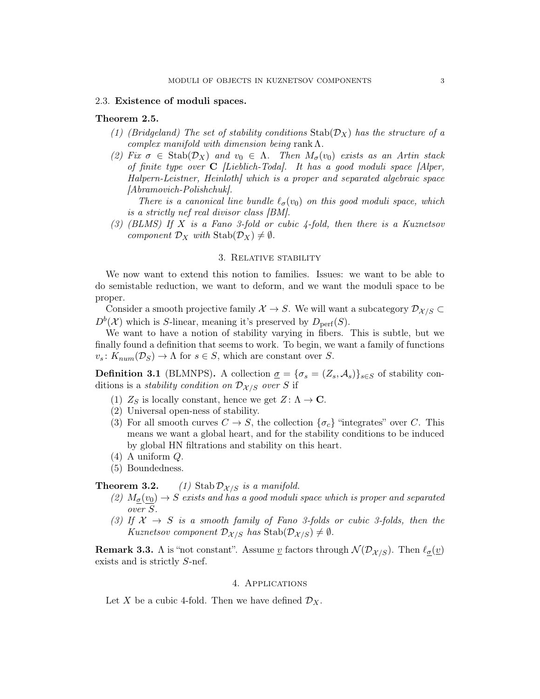### 2.3. Existence of moduli spaces.

#### Theorem 2.5.

- (1) (Bridgeland) The set of stability conditions  $\text{Stab}(\mathcal{D}_X)$  has the structure of a complex manifold with dimension being rank  $\Lambda$ .
- (2) Fix  $\sigma \in \text{Stab}(\mathcal{D}_X)$  and  $v_0 \in \Lambda$ . Then  $M_{\sigma}(v_0)$  exists as an Artin stack of finite type over  $C$  [Lieblich-Toda]. It has a good moduli space [Alper, Halpern-Leistner, Heinloth] which is a proper and separated algebraic space [Abramovich-Polishchuk].

There is a canonical line bundle  $\ell_{\sigma}(v_0)$  on this good moduli space, which is a strictly nef real divisor class [BM].

(3)  $(BLMS)$  If X is a Fano 3-fold or cubic 4-fold, then there is a Kuznetsov component  $\mathcal{D}_X$  with  $\text{Stab}(\mathcal{D}_X) \neq \emptyset$ .

## 3. Relative stability

We now want to extend this notion to families. Issues: we want to be able to do semistable reduction, we want to deform, and we want the moduli space to be proper.

Consider a smooth projective family  $\mathcal{X} \to S$ . We will want a subcategory  $\mathcal{D}_{\mathcal{X}/S} \subset$  $D^{b}(\mathcal{X})$  which is S-linear, meaning it's preserved by  $D_{\text{perf}}(S)$ .

We want to have a notion of stability varying in fibers. This is subtle, but we finally found a definition that seems to work. To begin, we want a family of functions  $v_s: K_{num}(\mathcal{D}_S) \to \Lambda$  for  $s \in S$ , which are constant over S.

**Definition 3.1** (BLMNPS). A collection  $\underline{\sigma} = {\sigma_s = (Z_s, A_s)}_{s \in S}$  of stability conditions is a *stability condition on*  $\mathcal{D}_{\mathcal{X}/S}$  over S if

- (1)  $Z_S$  is locally constant, hence we get  $Z: \Lambda \to \mathbb{C}$ .
- (2) Universal open-ness of stability.
- (3) For all smooth curves  $C \to S$ , the collection  $\{\sigma_c\}$  "integrates" over C. This means we want a global heart, and for the stability conditions to be induced by global HN filtrations and stability on this heart.
- (4) A uniform Q.
- (5) Boundedness.

**Theorem 3.2.** (1) Stab  $\mathcal{D}_{\mathcal{X}/S}$  is a manifold.

- (2)  $M_{\sigma}(v_0) \rightarrow S$  exists and has a good moduli space which is proper and separated over S.
- (3) If  $X \rightarrow S$  is a smooth family of Fano 3-folds or cubic 3-folds, then the Kuznetsov component  $\mathcal{D}_{\mathcal{X}/S}$  has  $\text{Stab}(\mathcal{D}_{\mathcal{X}/S}) \neq \emptyset$ .

**Remark 3.3.** Λ is "not constant". Assume  $\underline{v}$  factors through  $\mathcal{N}(\mathcal{D}_{\mathcal{X}/S})$ . Then  $\ell_{\sigma}(\underline{v})$ exists and is strictly S-nef.

#### 4. Applications

Let X be a cubic 4-fold. Then we have defined  $\mathcal{D}_X$ .